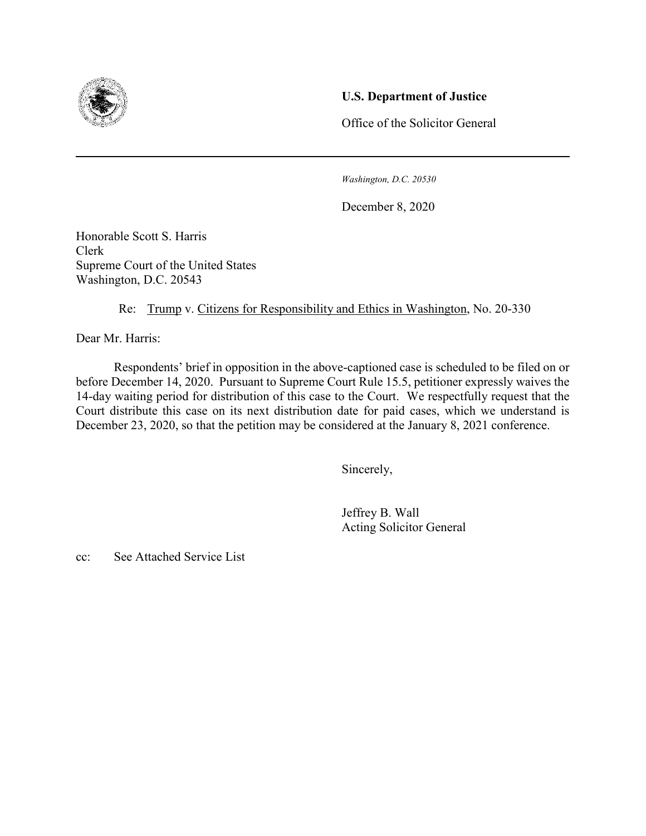

## **U.S. Department of Justice**

Office of the Solicitor General

*Washington, D.C. 20530*

December 8, 2020

Honorable Scott S. Harris Clerk Supreme Court of the United States Washington, D.C. 20543

Re: Trump v. Citizens for Responsibility and Ethics in Washington, No. 20-330

Dear Mr. Harris:

 Respondents' brief in opposition in the above-captioned case is scheduled to be filed on or before December 14, 2020. Pursuant to Supreme Court Rule 15.5, petitioner expressly waives the 14-day waiting period for distribution of this case to the Court. We respectfully request that the Court distribute this case on its next distribution date for paid cases, which we understand is December 23, 2020, so that the petition may be considered at the January 8, 2021 conference.

Sincerely,

 Jeffrey B. Wall Acting Solicitor General

cc: See Attached Service List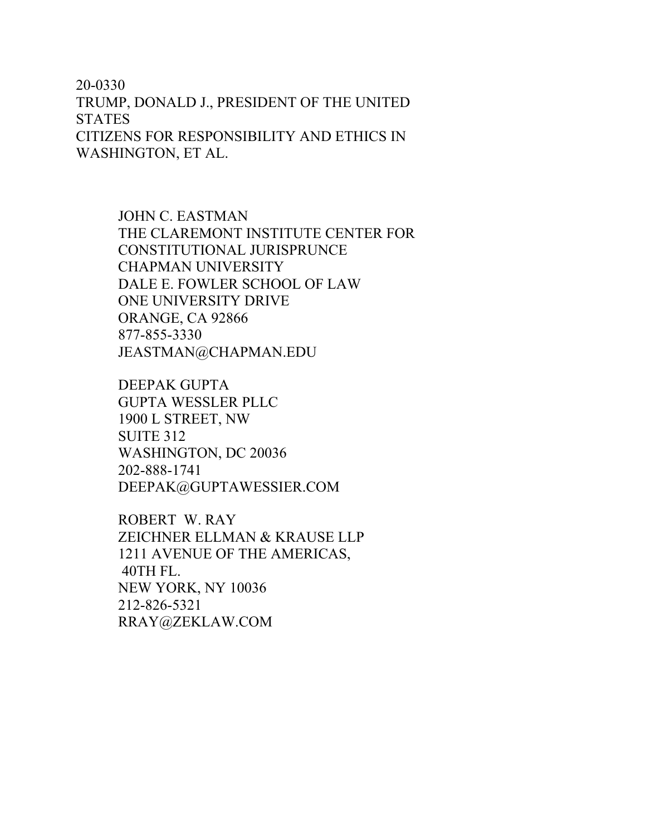20-0330 TRUMP, DONALD J., PRESIDENT OF THE UNITED **STATES** CITIZENS FOR RESPONSIBILITY AND ETHICS IN WASHINGTON, ET AL.

> JOHN C. EASTMAN THE CLAREMONT INSTITUTE CENTER FOR CONSTITUTIONAL JURISPRUNCE CHAPMAN UNIVERSITY DALE E. FOWLER SCHOOL OF LAW ONE UNIVERSITY DRIVE ORANGE, CA 92866 877-855-3330 JEASTMAN@CHAPMAN.EDU

DEEPAK GUPTA GUPTA WESSLER PLLC 1900 L STREET, NW SUITE 312 WASHINGTON, DC 20036 202-888-1741 DEEPAK@GUPTAWESSIER.COM

ROBERT W. RAY ZEICHNER ELLMAN & KRAUSE LLP 1211 AVENUE OF THE AMERICAS, 40TH FL. NEW YORK, NY 10036 212-826-5321 RRAY@ZEKLAW.COM